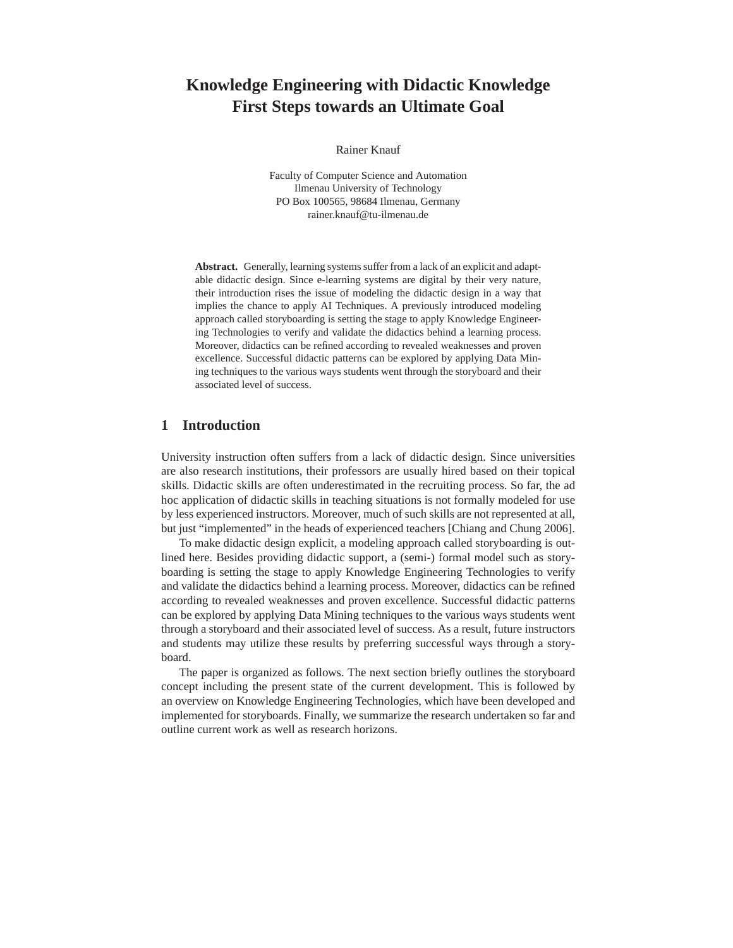# **Knowledge Engineering with Didactic Knowledge First Steps towards an Ultimate Goal**

Rainer Knauf

Faculty of Computer Science and Automation Ilmenau University of Technology PO Box 100565, 98684 Ilmenau, Germany rainer.knauf@tu-ilmenau.de

**Abstract.** Generally, learning systems suffer from a lack of an explicit and adaptable didactic design. Since e-learning systems are digital by their very nature, their introduction rises the issue of modeling the didactic design in a way that implies the chance to apply AI Techniques. A previously introduced modeling approach called storyboarding is setting the stage to apply Knowledge Engineering Technologies to verify and validate the didactics behind a learning process. Moreover, didactics can be refined according to revealed weaknesses and proven excellence. Successful didactic patterns can be explored by applying Data Mining techniques to the various ways students went through the storyboard and their associated level of success.

### **1 Introduction**

University instruction often suffers from a lack of didactic design. Since universities are also research institutions, their professors are usually hired based on their topical skills. Didactic skills are often underestimated in the recruiting process. So far, the ad hoc application of didactic skills in teaching situations is not formally modeled for use by less experienced instructors. Moreover, much of such skills are not represented at all, but just "implemented" in the heads of experienced teachers [Chiang and Chung 2006].

To make didactic design explicit, a modeling approach called storyboarding is outlined here. Besides providing didactic support, a (semi-) formal model such as storyboarding is setting the stage to apply Knowledge Engineering Technologies to verify and validate the didactics behind a learning process. Moreover, didactics can be refined according to revealed weaknesses and proven excellence. Successful didactic patterns can be explored by applying Data Mining techniques to the various ways students went through a storyboard and their associated level of success. As a result, future instructors and students may utilize these results by preferring successful ways through a storyboard.

The paper is organized as follows. The next section briefly outlines the storyboard concept including the present state of the current development. This is followed by an overview on Knowledge Engineering Technologies, which have been developed and implemented for storyboards. Finally, we summarize the research undertaken so far and outline current work as well as research horizons.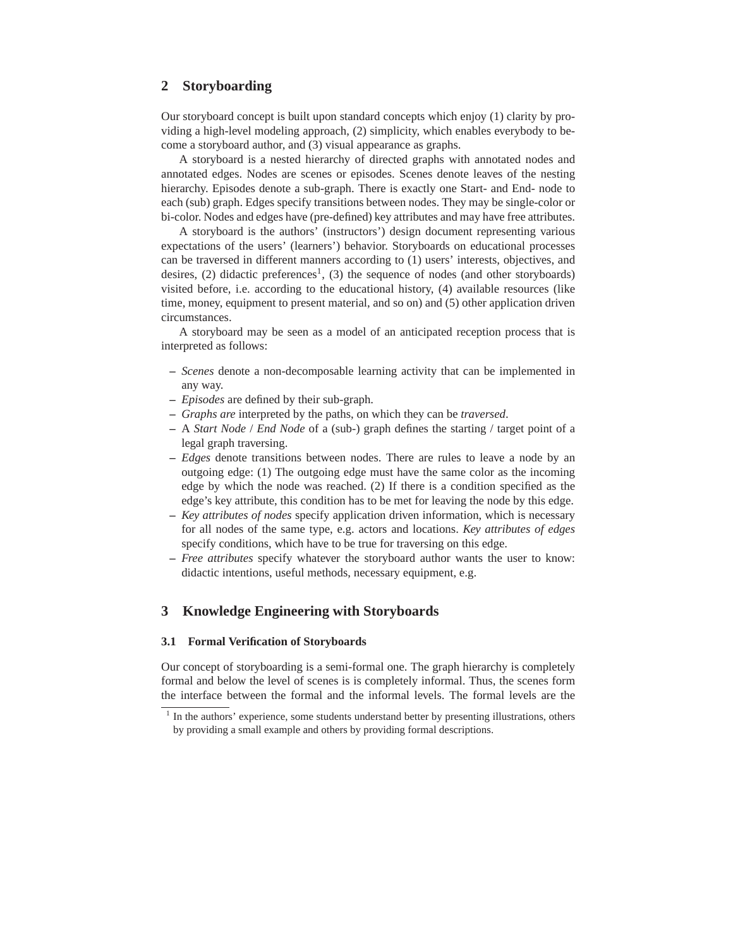## **2 Storyboarding**

Our storyboard concept is built upon standard concepts which enjoy (1) clarity by providing a high-level modeling approach, (2) simplicity, which enables everybody to become a storyboard author, and (3) visual appearance as graphs.

A storyboard is a nested hierarchy of directed graphs with annotated nodes and annotated edges. Nodes are scenes or episodes. Scenes denote leaves of the nesting hierarchy. Episodes denote a sub-graph. There is exactly one Start- and End- node to each (sub) graph. Edges specify transitions between nodes. They may be single-color or bi-color. Nodes and edges have (pre-defined) key attributes and may have free attributes.

A storyboard is the authors' (instructors') design document representing various expectations of the users' (learners') behavior. Storyboards on educational processes can be traversed in different manners according to (1) users' interests, objectives, and desires, (2) didactic preferences<sup>1</sup>, (3) the sequence of nodes (and other storyboards) visited before, i.e. according to the educational history, (4) available resources (like time, money, equipment to present material, and so on) and (5) other application driven circumstances.

A storyboard may be seen as a model of an anticipated reception process that is interpreted as follows:

- **–** *Scenes* denote a non-decomposable learning activity that can be implemented in any way.
- **–** *Episodes* are defined by their sub-graph.
- **–** *Graphs are* interpreted by the paths, on which they can be *traversed*.
- **–** A *Start Node* / *End Node* of a (sub-) graph defines the starting / target point of a legal graph traversing.
- **–** *Edges* denote transitions between nodes. There are rules to leave a node by an outgoing edge: (1) The outgoing edge must have the same color as the incoming edge by which the node was reached. (2) If there is a condition specified as the edge's key attribute, this condition has to be met for leaving the node by this edge.
- **–** *Key attributes of nodes* specify application driven information, which is necessary for all nodes of the same type, e.g. actors and locations. *Key attributes of edges* specify conditions, which have to be true for traversing on this edge.
- **–** *Free attributes* specify whatever the storyboard author wants the user to know: didactic intentions, useful methods, necessary equipment, e.g.

## **3 Knowledge Engineering with Storyboards**

#### **3.1 Formal Verification of Storyboards**

Our concept of storyboarding is a semi-formal one. The graph hierarchy is completely formal and below the level of scenes is is completely informal. Thus, the scenes form the interface between the formal and the informal levels. The formal levels are the

<sup>&</sup>lt;sup>1</sup> In the authors' experience, some students understand better by presenting illustrations, others by providing a small example and others by providing formal descriptions.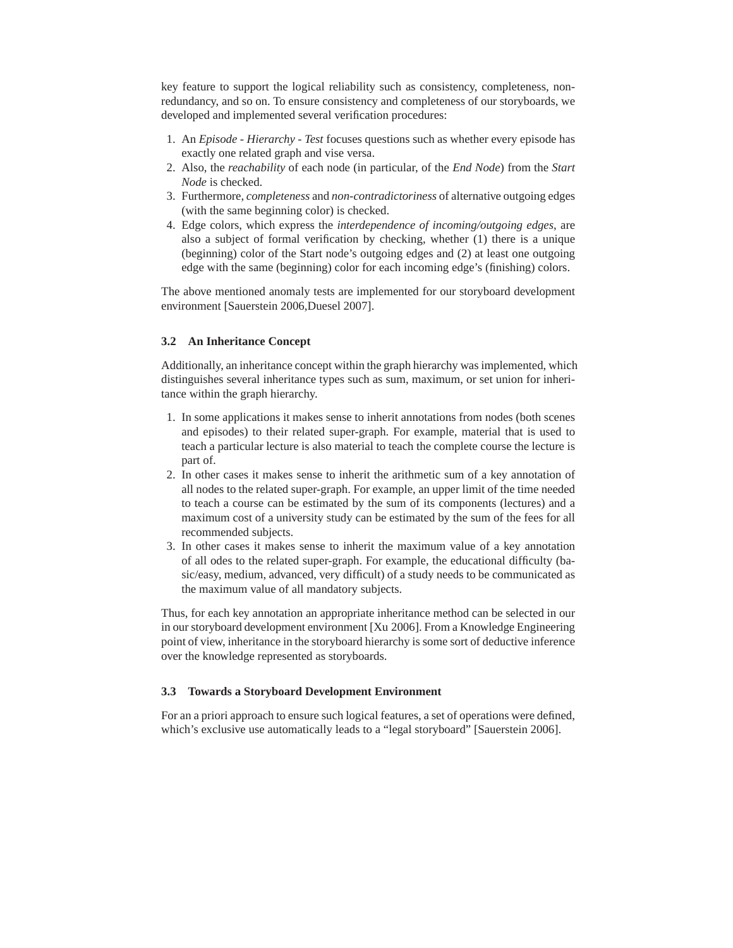key feature to support the logical reliability such as consistency, completeness, nonredundancy, and so on. To ensure consistency and completeness of our storyboards, we developed and implemented several verification procedures:

- 1. An *Episode Hierarchy Test* focuses questions such as whether every episode has exactly one related graph and vise versa.
- 2. Also, the *reachability* of each node (in particular, of the *End Node*) from the *Start Node* is checked.
- 3. Furthermore, *completeness* and *non-contradictoriness* of alternative outgoing edges (with the same beginning color) is checked.
- 4. Edge colors, which express the *interdependence of incoming/outgoing edges*, are also a subject of formal verification by checking, whether (1) there is a unique (beginning) color of the Start node's outgoing edges and (2) at least one outgoing edge with the same (beginning) color for each incoming edge's (finishing) colors.

The above mentioned anomaly tests are implemented for our storyboard development environment [Sauerstein 2006,Duesel 2007].

#### **3.2 An Inheritance Concept**

Additionally, an inheritance concept within the graph hierarchy was implemented, which distinguishes several inheritance types such as sum, maximum, or set union for inheritance within the graph hierarchy.

- 1. In some applications it makes sense to inherit annotations from nodes (both scenes and episodes) to their related super-graph. For example, material that is used to teach a particular lecture is also material to teach the complete course the lecture is part of.
- 2. In other cases it makes sense to inherit the arithmetic sum of a key annotation of all nodes to the related super-graph. For example, an upper limit of the time needed to teach a course can be estimated by the sum of its components (lectures) and a maximum cost of a university study can be estimated by the sum of the fees for all recommended subjects.
- 3. In other cases it makes sense to inherit the maximum value of a key annotation of all odes to the related super-graph. For example, the educational difficulty (basic/easy, medium, advanced, very difficult) of a study needs to be communicated as the maximum value of all mandatory subjects.

Thus, for each key annotation an appropriate inheritance method can be selected in our in our storyboard development environment [Xu 2006]. From a Knowledge Engineering point of view, inheritance in the storyboard hierarchy is some sort of deductive inference over the knowledge represented as storyboards.

#### **3.3 Towards a Storyboard Development Environment**

For an a priori approach to ensure such logical features, a set of operations were defined, which's exclusive use automatically leads to a "legal storyboard" [Sauerstein 2006].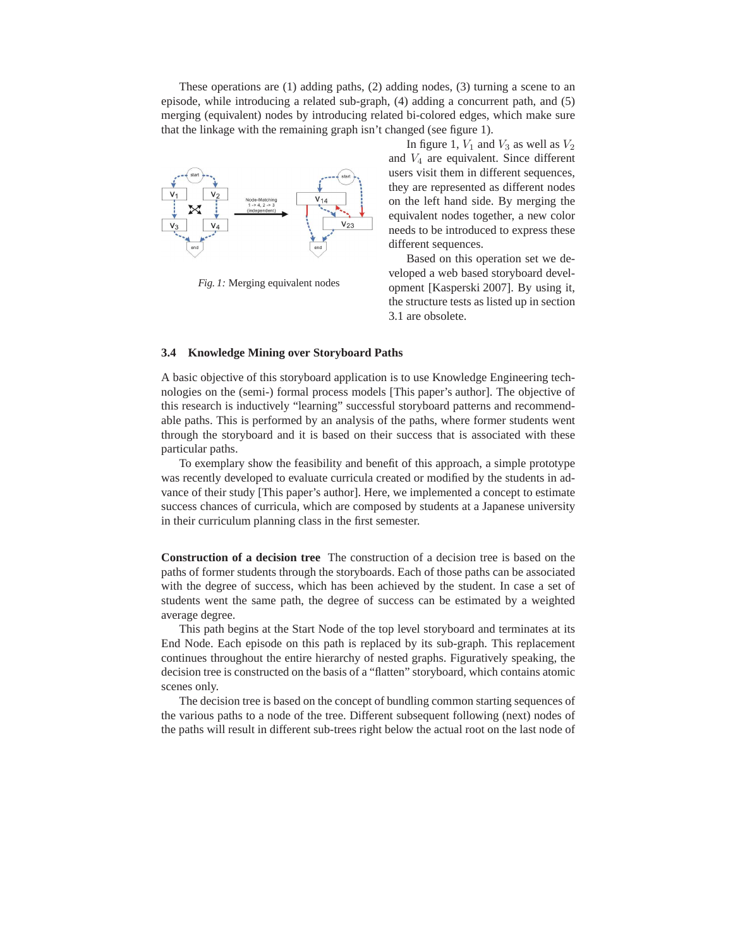These operations are (1) adding paths, (2) adding nodes, (3) turning a scene to an episode, while introducing a related sub-graph, (4) adding a concurrent path, and (5) merging (equivalent) nodes by introducing related bi-colored edges, which make sure that the linkage with the remaining graph isn't changed (see figure 1).



*Fig. 1:* Merging equivalent nodes

In figure 1,  $V_1$  and  $V_3$  as well as  $V_2$ and V<sup>4</sup> are equivalent. Since different users visit them in different sequences, they are represented as different nodes on the left hand side. By merging the equivalent nodes together, a new color needs to be introduced to express these different sequences.

Based on this operation set we developed a web based storyboard development [Kasperski 2007]. By using it, the structure tests as listed up in section 3.1 are obsolete.

#### **3.4 Knowledge Mining over Storyboard Paths**

A basic objective of this storyboard application is to use Knowledge Engineering technologies on the (semi-) formal process models [This paper's author]. The objective of this research is inductively "learning" successful storyboard patterns and recommendable paths. This is performed by an analysis of the paths, where former students went through the storyboard and it is based on their success that is associated with these particular paths.

To exemplary show the feasibility and benefit of this approach, a simple prototype was recently developed to evaluate curricula created or modified by the students in advance of their study [This paper's author]. Here, we implemented a concept to estimate success chances of curricula, which are composed by students at a Japanese university in their curriculum planning class in the first semester.

**Construction of a decision tree** The construction of a decision tree is based on the paths of former students through the storyboards. Each of those paths can be associated with the degree of success, which has been achieved by the student. In case a set of students went the same path, the degree of success can be estimated by a weighted average degree.

This path begins at the Start Node of the top level storyboard and terminates at its End Node. Each episode on this path is replaced by its sub-graph. This replacement continues throughout the entire hierarchy of nested graphs. Figuratively speaking, the decision tree is constructed on the basis of a "flatten" storyboard, which contains atomic scenes only.

The decision tree is based on the concept of bundling common starting sequences of the various paths to a node of the tree. Different subsequent following (next) nodes of the paths will result in different sub-trees right below the actual root on the last node of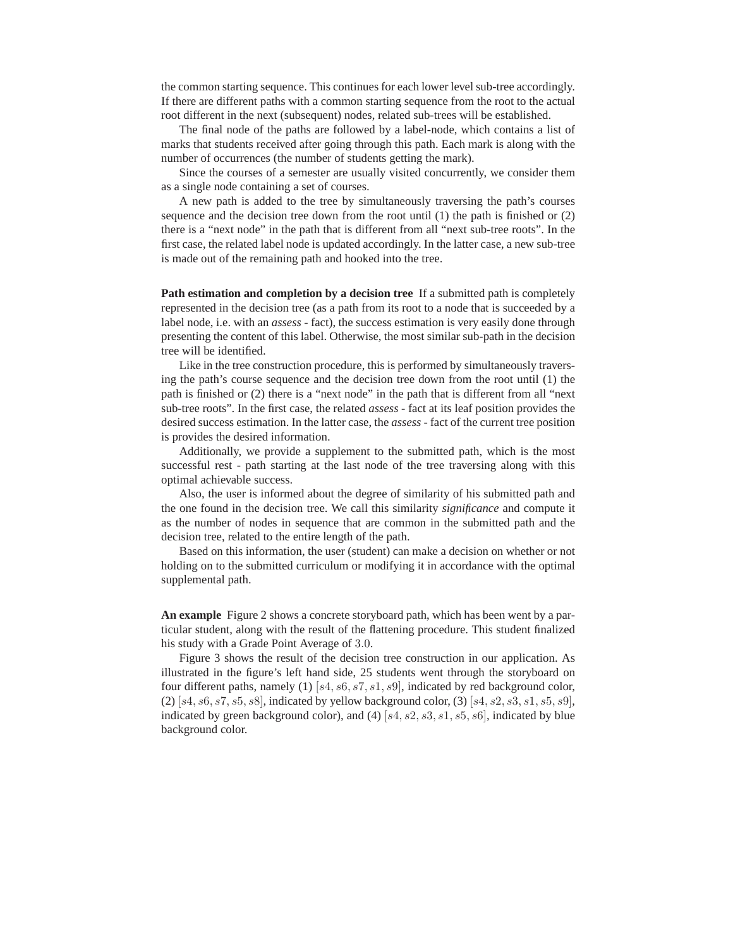the common starting sequence. This continues for each lower level sub-tree accordingly. If there are different paths with a common starting sequence from the root to the actual root different in the next (subsequent) nodes, related sub-trees will be established.

The final node of the paths are followed by a label-node, which contains a list of marks that students received after going through this path. Each mark is along with the number of occurrences (the number of students getting the mark).

Since the courses of a semester are usually visited concurrently, we consider them as a single node containing a set of courses.

A new path is added to the tree by simultaneously traversing the path's courses sequence and the decision tree down from the root until  $(1)$  the path is finished or  $(2)$ there is a "next node" in the path that is different from all "next sub-tree roots". In the first case, the related label node is updated accordingly. In the latter case, a new sub-tree is made out of the remaining path and hooked into the tree.

**Path estimation and completion by a decision tree** If a submitted path is completely represented in the decision tree (as a path from its root to a node that is succeeded by a label node, i.e. with an *assess* - fact), the success estimation is very easily done through presenting the content of this label. Otherwise, the most similar sub-path in the decision tree will be identified.

Like in the tree construction procedure, this is performed by simultaneously traversing the path's course sequence and the decision tree down from the root until (1) the path is finished or (2) there is a "next node" in the path that is different from all "next sub-tree roots". In the first case, the related *assess* - fact at its leaf position provides the desired success estimation. In the latter case, the *assess* - fact of the current tree position is provides the desired information.

Additionally, we provide a supplement to the submitted path, which is the most successful rest - path starting at the last node of the tree traversing along with this optimal achievable success.

Also, the user is informed about the degree of similarity of his submitted path and the one found in the decision tree. We call this similarity *significance* and compute it as the number of nodes in sequence that are common in the submitted path and the decision tree, related to the entire length of the path.

Based on this information, the user (student) can make a decision on whether or not holding on to the submitted curriculum or modifying it in accordance with the optimal supplemental path.

**An example** Figure 2 shows a concrete storyboard path, which has been went by a particular student, along with the result of the flattening procedure. This student finalized his study with a Grade Point Average of 3.0.

Figure 3 shows the result of the decision tree construction in our application. As illustrated in the figure's left hand side, 25 students went through the storyboard on four different paths, namely (1) [ $s4$ ,  $s6$ ,  $s7$ ,  $s1$ ,  $s9$ ], indicated by red background color,  $(2)$  [s4, s6, s7, s5, s8], indicated by yellow background color, (3) [s4, s2, s3, s1, s5, s9], indicated by green background color), and  $(4)$  [ $s4$ ,  $s2$ ,  $s3$ ,  $s1$ ,  $s5$ ,  $s6$ ], indicated by blue background color.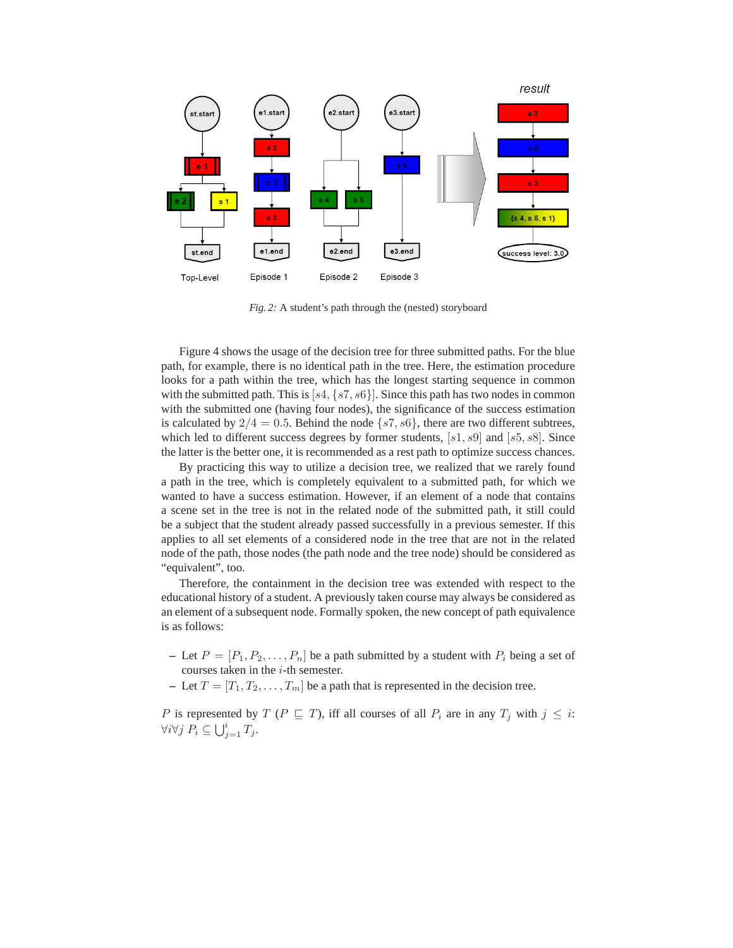

*Fig. 2:* A student's path through the (nested) storyboard

Figure 4 shows the usage of the decision tree for three submitted paths. For the blue path, for example, there is no identical path in the tree. Here, the estimation procedure looks for a path within the tree, which has the longest starting sequence in common with the submitted path. This is [ $s4$ ,  $\{s7, s6\}$ ]. Since this path has two nodes in common with the submitted one (having four nodes), the significance of the success estimation is calculated by  $2/4 = 0.5$ . Behind the node  $\{s7, s6\}$ , there are two different subtrees, which led to different success degrees by former students,  $[s1, s9]$  and  $[s5, s8]$ . Since the latter is the better one, it is recommended as a rest path to optimize success chances.

By practicing this way to utilize a decision tree, we realized that we rarely found a path in the tree, which is completely equivalent to a submitted path, for which we wanted to have a success estimation. However, if an element of a node that contains a scene set in the tree is not in the related node of the submitted path, it still could be a subject that the student already passed successfully in a previous semester. If this applies to all set elements of a considered node in the tree that are not in the related node of the path, those nodes (the path node and the tree node) should be considered as "equivalent", too.

Therefore, the containment in the decision tree was extended with respect to the educational history of a student. A previously taken course may always be considered as an element of a subsequent node. Formally spoken, the new concept of path equivalence is as follows:

- Let  $P = [P_1, P_2, \ldots, P_n]$  be a path submitted by a student with  $P_i$  being a set of courses taken in the  $i$ -th semester.
- $\mathcal{I} = \text{Let } T = [T_1, T_2, \dots, T_m]$  be a path that is represented in the decision tree.

P is represented by  $T$  ( $P \sqsubseteq T$ ), iff all courses of all  $P_i$  are in any  $T_j$  with  $j \leq i$ :  $\forall i \forall j \ P_i \subseteq \bigcup_{j=1}^i T_j.$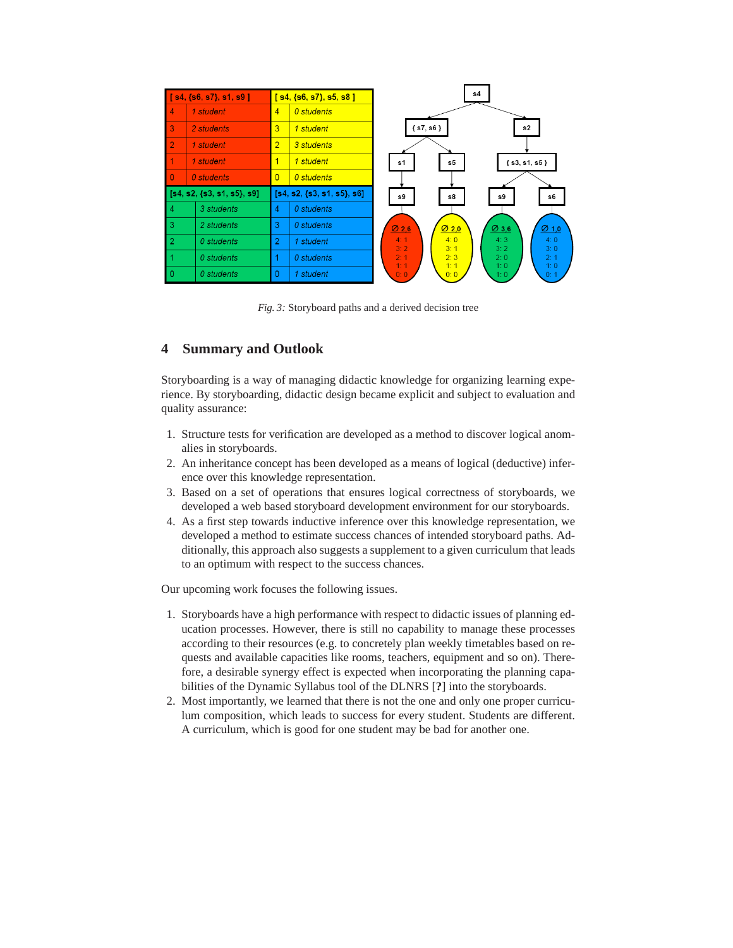| $[$ s4, {s6, s7}, s1, s9 ]     |            | $[$ s4, $\{s6, s7\}$ , s5, s8 ] |                                |                            |                   | s4              |                 |
|--------------------------------|------------|---------------------------------|--------------------------------|----------------------------|-------------------|-----------------|-----------------|
| 4                              | 1 student  | $\overline{4}$                  | 0 students                     |                            |                   |                 |                 |
| 3                              | 2 students | 3                               | 1 student                      |                            | ${ss7,ss6}$       |                 | s2              |
| $\overline{2}$                 | 1 student  | $\overline{2}$                  | 3 students                     |                            |                   |                 |                 |
| 1                              | 1 student  | 1                               | 1 student                      | s1                         | s5                |                 | ${ss, s1, s5}$  |
| $\Omega$                       | 0 students | $\overline{0}$                  | 0 students                     |                            |                   |                 |                 |
| $[s4, s2, \{s3, s1, s5\}, s9]$ |            |                                 | $[s4, s2, \{s3, s1, s5\}, s6]$ | s9                         | s8                | s9              | s6              |
|                                | 3 students | 4                               | 0 students                     |                            |                   |                 |                 |
| 3                              | 2 students | 3                               | 0 students                     | $\overline{\emptyset}$ 2,6 | $\varnothing$ 2,0 | $\emptyset$ 3,6 | $\emptyset$ 1,0 |
| 2                              | 0 students | 2                               | 1 student                      | 4:1<br>3:2                 | 4:0<br>3:1        | 4:3<br>3:2      | 4:0<br>3:0      |
|                                | 0 students |                                 | 0 students                     | 2:1<br>1:1                 | 2:3<br>1:1        | 2:0<br>1:0      | 2:1<br>1:0      |
|                                | 0 students | 0                               | 1 student                      | 0:0                        | 0:0               | 1:0             | 0:1             |

*Fig. 3:* Storyboard paths and a derived decision tree

# **4 Summary and Outlook**

Storyboarding is a way of managing didactic knowledge for organizing learning experience. By storyboarding, didactic design became explicit and subject to evaluation and quality assurance:

- 1. Structure tests for verification are developed as a method to discover logical anomalies in storyboards.
- 2. An inheritance concept has been developed as a means of logical (deductive) inference over this knowledge representation.
- 3. Based on a set of operations that ensures logical correctness of storyboards, we developed a web based storyboard development environment for our storyboards.
- 4. As a first step towards inductive inference over this knowledge representation, we developed a method to estimate success chances of intended storyboard paths. Additionally, this approach also suggests a supplement to a given curriculum that leads to an optimum with respect to the success chances.

Our upcoming work focuses the following issues.

- 1. Storyboards have a high performance with respect to didactic issues of planning education processes. However, there is still no capability to manage these processes according to their resources (e.g. to concretely plan weekly timetables based on requests and available capacities like rooms, teachers, equipment and so on). Therefore, a desirable synergy effect is expected when incorporating the planning capabilities of the Dynamic Syllabus tool of the DLNRS [**?**] into the storyboards.
- 2. Most importantly, we learned that there is not the one and only one proper curriculum composition, which leads to success for every student. Students are different. A curriculum, which is good for one student may be bad for another one.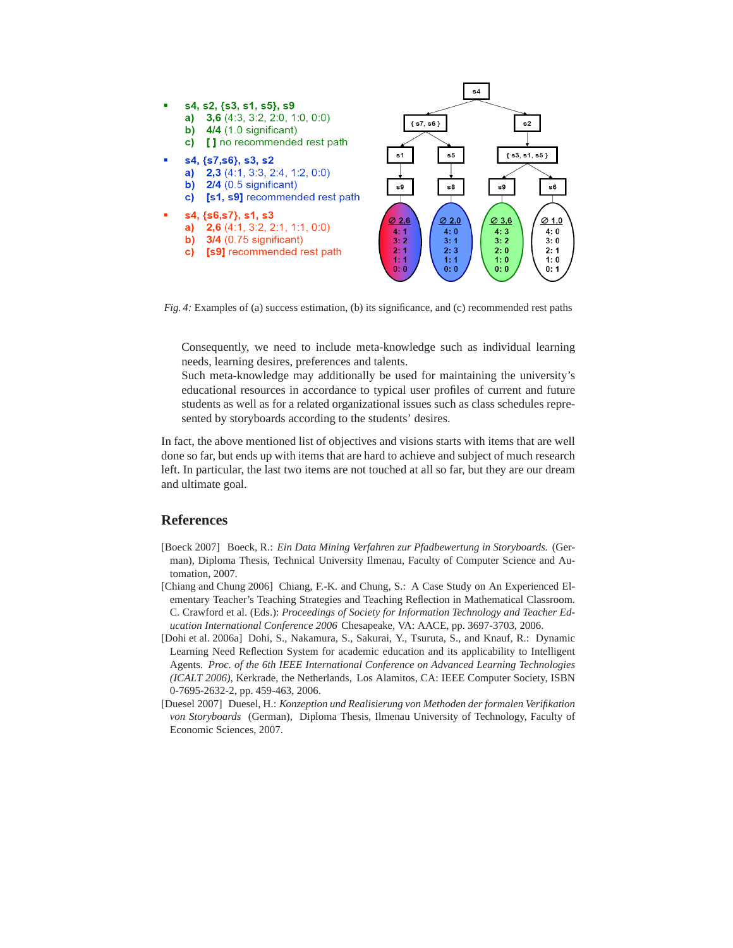

*Fig. 4:* Examples of (a) success estimation, (b) its significance, and (c) recommended rest paths

Consequently, we need to include meta-knowledge such as individual learning needs, learning desires, preferences and talents.

Such meta-knowledge may additionally be used for maintaining the university's educational resources in accordance to typical user profiles of current and future students as well as for a related organizational issues such as class schedules represented by storyboards according to the students' desires.

In fact, the above mentioned list of objectives and visions starts with items that are well done so far, but ends up with items that are hard to achieve and subject of much research left. In particular, the last two items are not touched at all so far, but they are our dream and ultimate goal.

## **References**

- [Boeck 2007] Boeck, R.: *Ein Data Mining Verfahren zur Pfadbewertung in Storyboards.* (German), Diploma Thesis, Technical University Ilmenau, Faculty of Computer Science and Automation, 2007.
- [Chiang and Chung 2006] Chiang, F.-K. and Chung, S.: A Case Study on An Experienced Elementary Teacher's Teaching Strategies and Teaching Reflection in Mathematical Classroom. C. Crawford et al. (Eds.): *Proceedings of Society for Information Technology and Teacher Education International Conference 2006* Chesapeake, VA: AACE, pp. 3697-3703, 2006.
- [Dohi et al. 2006a] Dohi, S., Nakamura, S., Sakurai, Y., Tsuruta, S., and Knauf, R.: Dynamic Learning Need Reflection System for academic education and its applicability to Intelligent Agents. *Proc. of the 6th IEEE International Conference on Advanced Learning Technologies (ICALT 2006)*, Kerkrade, the Netherlands, Los Alamitos, CA: IEEE Computer Society, ISBN 0-7695-2632-2, pp. 459-463, 2006.
- [Duesel 2007] Duesel, H.: *Konzeption und Realisierung von Methoden der formalen Verifikation von Storyboards* (German), Diploma Thesis, Ilmenau University of Technology, Faculty of Economic Sciences, 2007.